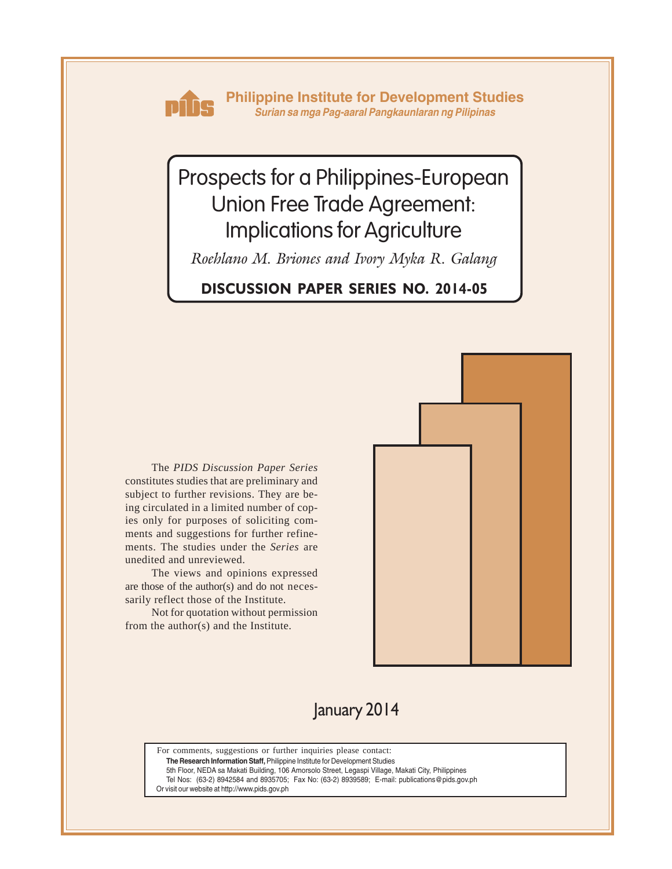

**Philippine Institute for Development Studies** *Surian sa mga Pag-aaral Pangkaunlaran ng Pilipinas*

# Prospects for a Philippines-European Union Free Trade Agreement: Implications for Agriculture

*Roehlano M. Briones and Ivory Myka R. Galang*

# **DISCUSSION PAPER SERIES NO. 2014-05**

The *PIDS Discussion Paper Series* constitutes studies that are preliminary and subject to further revisions. They are being circulated in a limited number of copies only for purposes of soliciting comments and suggestions for further refinements. The studies under the *Series* are unedited and unreviewed.

The views and opinions expressed are those of the author(s) and do not necessarily reflect those of the Institute.

Not for quotation without permission from the author(s) and the Institute.



# January 2014

For comments, suggestions or further inquiries please contact:

**The Research Information Staff,** Philippine Institute for Development Studies

5th Floor, NEDA sa Makati Building, 106 Amorsolo Street, Legaspi Village, Makati City, Philippines

Tel Nos: (63-2) 8942584 and 8935705; Fax No: (63-2) 8939589; E-mail: publications@pids.gov.ph

Or visit our website at http://www.pids.gov.ph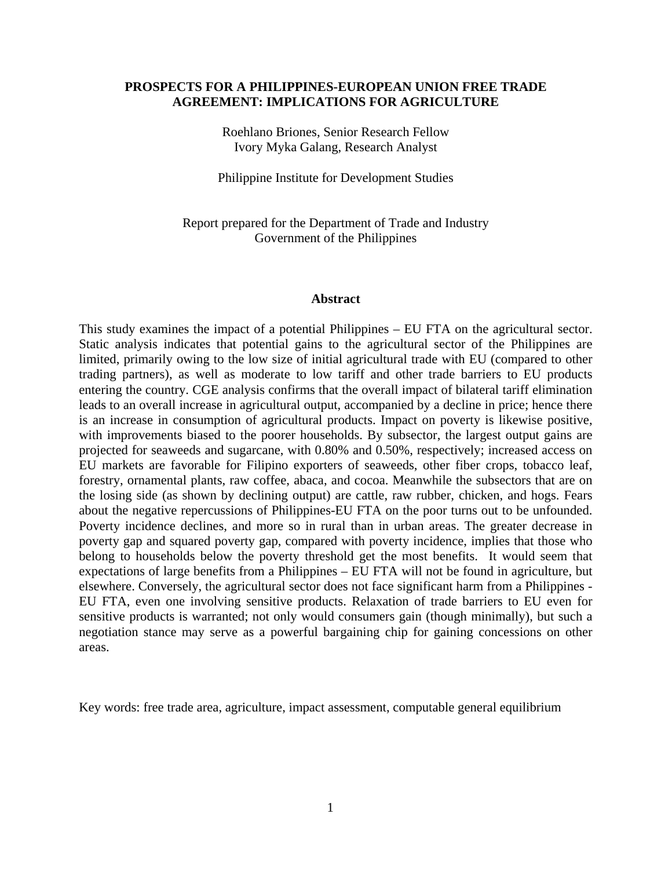#### **PROSPECTS FOR A PHILIPPINES-EUROPEAN UNION FREE TRADE AGREEMENT: IMPLICATIONS FOR AGRICULTURE**

Roehlano Briones, Senior Research Fellow Ivory Myka Galang, Research Analyst

Philippine Institute for Development Studies

Report prepared for the Department of Trade and Industry Government of the Philippines

#### **Abstract**

This study examines the impact of a potential Philippines – EU FTA on the agricultural sector. Static analysis indicates that potential gains to the agricultural sector of the Philippines are limited, primarily owing to the low size of initial agricultural trade with EU (compared to other trading partners), as well as moderate to low tariff and other trade barriers to EU products entering the country. CGE analysis confirms that the overall impact of bilateral tariff elimination leads to an overall increase in agricultural output, accompanied by a decline in price; hence there is an increase in consumption of agricultural products. Impact on poverty is likewise positive, with improvements biased to the poorer households. By subsector, the largest output gains are projected for seaweeds and sugarcane, with 0.80% and 0.50%, respectively; increased access on EU markets are favorable for Filipino exporters of seaweeds, other fiber crops, tobacco leaf, forestry, ornamental plants, raw coffee, abaca, and cocoa. Meanwhile the subsectors that are on the losing side (as shown by declining output) are cattle, raw rubber, chicken, and hogs. Fears about the negative repercussions of Philippines-EU FTA on the poor turns out to be unfounded. Poverty incidence declines, and more so in rural than in urban areas. The greater decrease in poverty gap and squared poverty gap, compared with poverty incidence, implies that those who belong to households below the poverty threshold get the most benefits. It would seem that expectations of large benefits from a Philippines – EU FTA will not be found in agriculture, but elsewhere. Conversely, the agricultural sector does not face significant harm from a Philippines - EU FTA, even one involving sensitive products. Relaxation of trade barriers to EU even for sensitive products is warranted; not only would consumers gain (though minimally), but such a negotiation stance may serve as a powerful bargaining chip for gaining concessions on other areas.

Key words: free trade area, agriculture, impact assessment, computable general equilibrium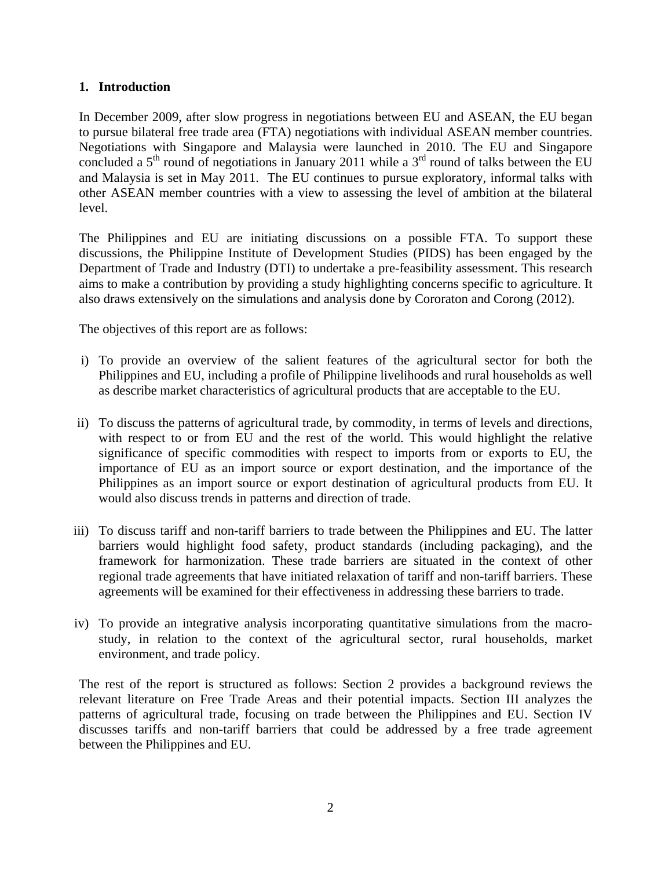# **1. Introduction**

In December 2009, after slow progress in negotiations between EU and ASEAN, the EU began to pursue bilateral free trade area (FTA) negotiations with individual ASEAN member countries. Negotiations with Singapore and Malaysia were launched in 2010. The EU and Singapore concluded a  $5<sup>th</sup>$  round of negotiations in January 2011 while a  $3<sup>rd</sup>$  round of talks between the EU and Malaysia is set in May 2011. The EU continues to pursue exploratory, informal talks with other ASEAN member countries with a view to assessing the level of ambition at the bilateral level.

The Philippines and EU are initiating discussions on a possible FTA. To support these discussions, the Philippine Institute of Development Studies (PIDS) has been engaged by the Department of Trade and Industry (DTI) to undertake a pre-feasibility assessment. This research aims to make a contribution by providing a study highlighting concerns specific to agriculture. It also draws extensively on the simulations and analysis done by Cororaton and Corong (2012).

The objectives of this report are as follows:

- i) To provide an overview of the salient features of the agricultural sector for both the Philippines and EU, including a profile of Philippine livelihoods and rural households as well as describe market characteristics of agricultural products that are acceptable to the EU.
- ii) To discuss the patterns of agricultural trade, by commodity, in terms of levels and directions, with respect to or from EU and the rest of the world. This would highlight the relative significance of specific commodities with respect to imports from or exports to EU, the importance of EU as an import source or export destination, and the importance of the Philippines as an import source or export destination of agricultural products from EU. It would also discuss trends in patterns and direction of trade.
- iii) To discuss tariff and non-tariff barriers to trade between the Philippines and EU. The latter barriers would highlight food safety, product standards (including packaging), and the framework for harmonization. These trade barriers are situated in the context of other regional trade agreements that have initiated relaxation of tariff and non-tariff barriers. These agreements will be examined for their effectiveness in addressing these barriers to trade.
- iv) To provide an integrative analysis incorporating quantitative simulations from the macrostudy, in relation to the context of the agricultural sector, rural households, market environment, and trade policy.

The rest of the report is structured as follows: Section 2 provides a background reviews the relevant literature on Free Trade Areas and their potential impacts. Section III analyzes the patterns of agricultural trade, focusing on trade between the Philippines and EU. Section IV discusses tariffs and non-tariff barriers that could be addressed by a free trade agreement between the Philippines and EU.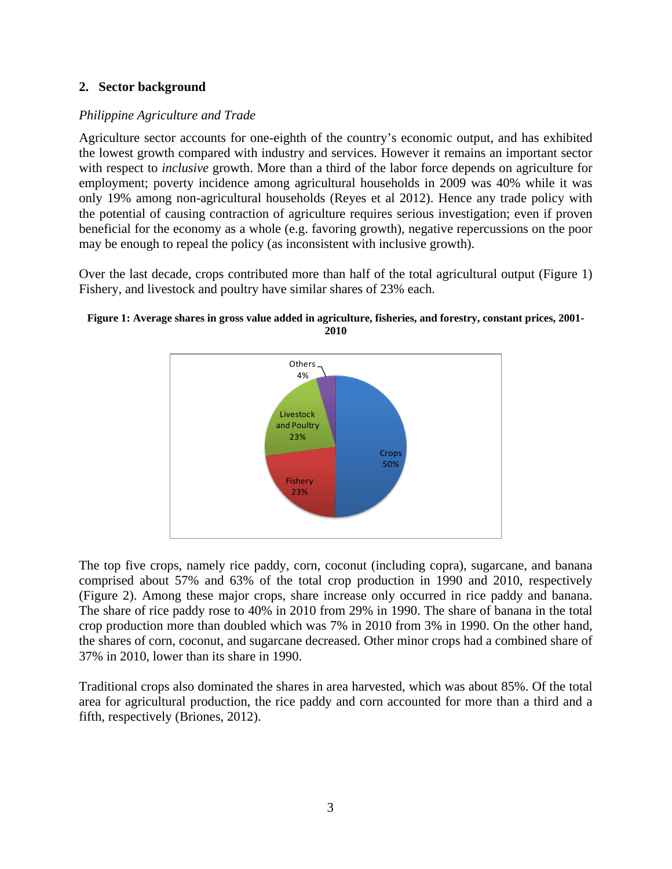# **2. Sector background**

# *Philippine Agriculture and Trade*

Agriculture sector accounts for one-eighth of the country's economic output, and has exhibited the lowest growth compared with industry and services. However it remains an important sector with respect to *inclusive* growth. More than a third of the labor force depends on agriculture for employment; poverty incidence among agricultural households in 2009 was 40% while it was only 19% among non-agricultural households (Reyes et al 2012). Hence any trade policy with the potential of causing contraction of agriculture requires serious investigation; even if proven beneficial for the economy as a whole (e.g. favoring growth), negative repercussions on the poor may be enough to repeal the policy (as inconsistent with inclusive growth).

Over the last decade, crops contributed more than half of the total agricultural output [\(Figure 1\)](#page-3-0) Fishery, and livestock and poultry have similar shares of 23% each.



<span id="page-3-0"></span>

The top five crops, namely rice paddy, corn, coconut (including copra), sugarcane, and banana comprised about 57% and 63% of the total crop production in 1990 and 2010, respectively [\(Figure 2\)](#page-4-0). Among these major crops, share increase only occurred in rice paddy and banana. The share of rice paddy rose to 40% in 2010 from 29% in 1990. The share of banana in the total crop production more than doubled which was 7% in 2010 from 3% in 1990. On the other hand, the shares of corn, coconut, and sugarcane decreased. Other minor crops had a combined share of 37% in 2010, lower than its share in 1990.

Traditional crops also dominated the shares in area harvested, which was about 85%. Of the total area for agricultural production, the rice paddy and corn accounted for more than a third and a fifth, respectively (Briones, 2012).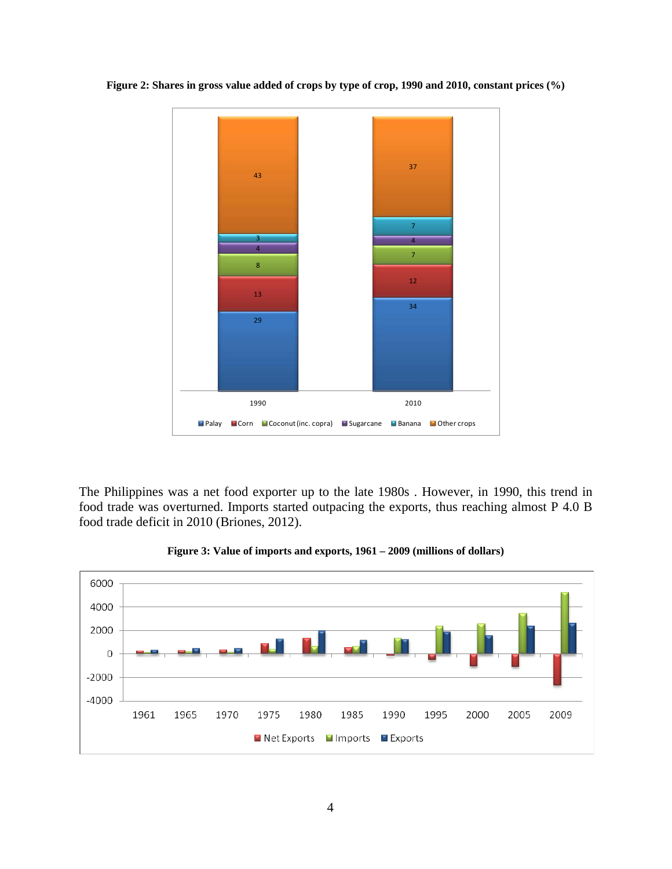<span id="page-4-0"></span>**Figure 2: Shares in gross value added of crops by type of crop, 1990 and 2010, constant prices (%)**



The Philippines was a net food exporter up to the late 1980s . However, in 1990, this trend in food trade was overturned. Imports started outpacing the exports, thus reaching almost P 4.0 B food trade deficit in 2010 (Briones, 2012).



**Figure 3: Value of imports and exports, 1961 – 2009 (millions of dollars)**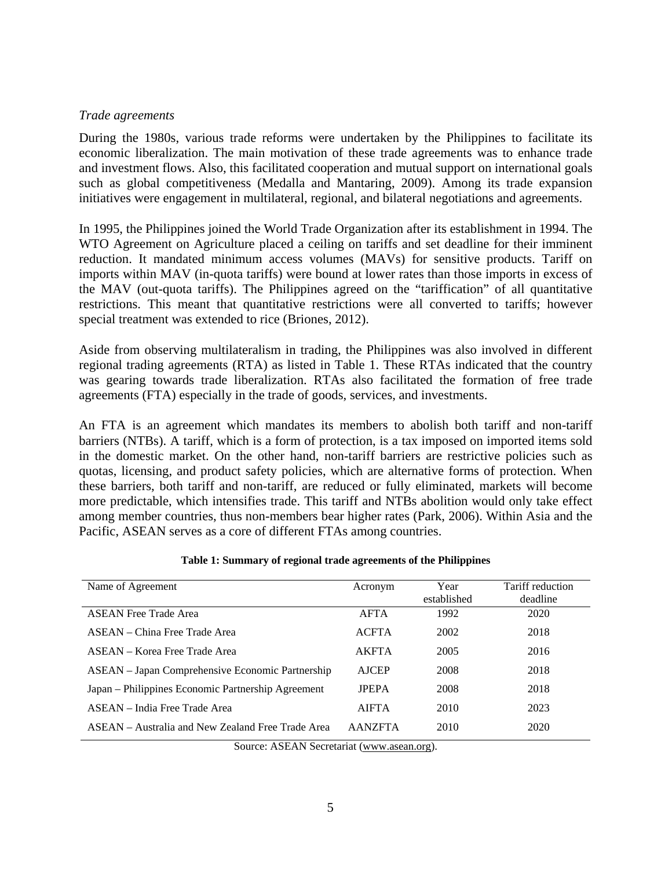#### *Trade agreements*

During the 1980s, various trade reforms were undertaken by the Philippines to facilitate its economic liberalization. The main motivation of these trade agreements was to enhance trade and investment flows. Also, this facilitated cooperation and mutual support on international goals such as global competitiveness (Medalla and Mantaring, 2009). Among its trade expansion initiatives were engagement in multilateral, regional, and bilateral negotiations and agreements.

In 1995, the Philippines joined the World Trade Organization after its establishment in 1994. The WTO Agreement on Agriculture placed a ceiling on tariffs and set deadline for their imminent reduction. It mandated minimum access volumes (MAVs) for sensitive products. Tariff on imports within MAV (in-quota tariffs) were bound at lower rates than those imports in excess of the MAV (out-quota tariffs). The Philippines agreed on the "tariffication" of all quantitative restrictions. This meant that quantitative restrictions were all converted to tariffs; however special treatment was extended to rice (Briones, 2012).

Aside from observing multilateralism in trading, the Philippines was also involved in different regional trading agreements (RTA) as listed in Table 1. These RTAs indicated that the country was gearing towards trade liberalization. RTAs also facilitated the formation of free trade agreements (FTA) especially in the trade of goods, services, and investments.

An FTA is an agreement which mandates its members to abolish both tariff and non-tariff barriers (NTBs). A tariff, which is a form of protection, is a tax imposed on imported items sold in the domestic market. On the other hand, non-tariff barriers are restrictive policies such as quotas, licensing, and product safety policies, which are alternative forms of protection. When these barriers, both tariff and non-tariff, are reduced or fully eliminated, markets will become more predictable, which intensifies trade. This tariff and NTBs abolition would only take effect among member countries, thus non-members bear higher rates (Park, 2006). Within Asia and the Pacific, ASEAN serves as a core of different FTAs among countries.

| Name of Agreement                                  | Acronym        | Year<br>established | Tariff reduction<br>deadline |
|----------------------------------------------------|----------------|---------------------|------------------------------|
| <b>ASEAN Free Trade Area</b>                       | <b>AFTA</b>    | 1992                | 2020                         |
| ASEAN – China Free Trade Area                      | <b>ACFTA</b>   | 2002                | 2018                         |
| ASEAN – Korea Free Trade Area                      | <b>AKFTA</b>   | 2005                | 2016                         |
| ASEAN – Japan Comprehensive Economic Partnership   | <b>AJCEP</b>   | 2008                | 2018                         |
| Japan – Philippines Economic Partnership Agreement | <b>IPEPA</b>   | 2008                | 2018                         |
| ASEAN – India Free Trade Area                      | <b>AIFTA</b>   | 2010                | 2023                         |
| ASEAN – Australia and New Zealand Free Trade Area  | <b>AANZFTA</b> | 2010                | 2020                         |

#### **Table 1: Summary of regional trade agreements of the Philippines**

Source: ASEAN Secretariat [\(www.asean.org\)](http://www.asean.org/).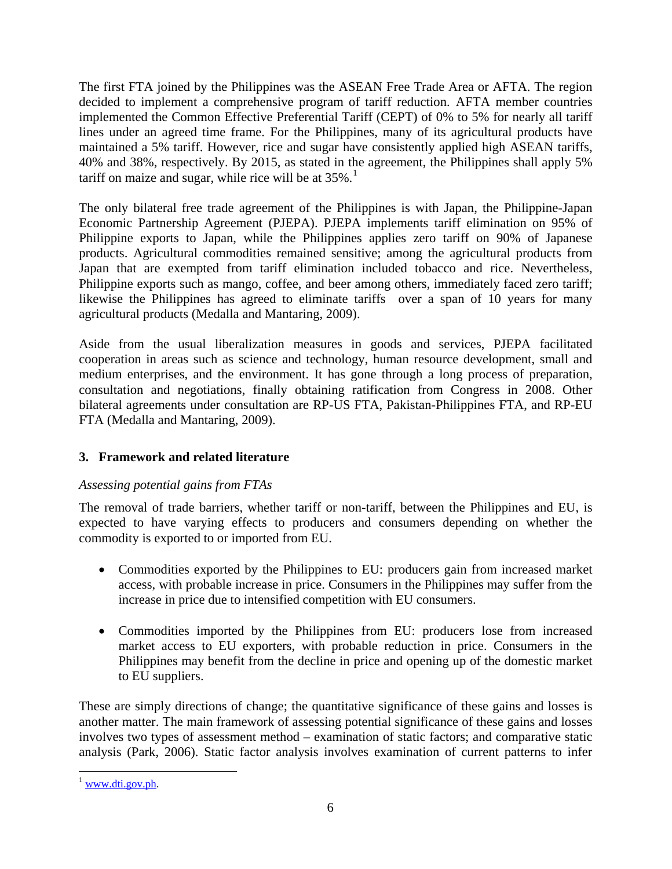The first FTA joined by the Philippines was the ASEAN Free Trade Area or AFTA. The region decided to implement a comprehensive program of tariff reduction. AFTA member countries implemented the Common Effective Preferential Tariff (CEPT) of 0% to 5% for nearly all tariff lines under an agreed time frame. For the Philippines, many of its agricultural products have maintained a 5% tariff. However, rice and sugar have consistently applied high ASEAN tariffs, 40% and 38%, respectively. By 2015, as stated in the agreement, the Philippines shall apply 5% tariff on maize and sugar, while rice will be at  $35\%$ .<sup>[1](#page-6-0)</sup>

The only bilateral free trade agreement of the Philippines is with Japan, the Philippine-Japan Economic Partnership Agreement (PJEPA). PJEPA implements tariff elimination on 95% of Philippine exports to Japan, while the Philippines applies zero tariff on 90% of Japanese products. Agricultural commodities remained sensitive; among the agricultural products from Japan that are exempted from tariff elimination included tobacco and rice. Nevertheless, Philippine exports such as mango, coffee, and beer among others, immediately faced zero tariff; likewise the Philippines has agreed to eliminate tariffs over a span of 10 years for many agricultural products (Medalla and Mantaring, 2009).

Aside from the usual liberalization measures in goods and services, PJEPA facilitated cooperation in areas such as science and technology, human resource development, small and medium enterprises, and the environment. It has gone through a long process of preparation, consultation and negotiations, finally obtaining ratification from Congress in 2008. Other bilateral agreements under consultation are RP-US FTA, Pakistan-Philippines FTA, and RP-EU FTA (Medalla and Mantaring, 2009).

# **3. Framework and related literature**

# *Assessing potential gains from FTAs*

The removal of trade barriers, whether tariff or non-tariff, between the Philippines and EU, is expected to have varying effects to producers and consumers depending on whether the commodity is exported to or imported from EU.

- Commodities exported by the Philippines to EU: producers gain from increased market access, with probable increase in price. Consumers in the Philippines may suffer from the increase in price due to intensified competition with EU consumers.
- Commodities imported by the Philippines from EU: producers lose from increased market access to EU exporters, with probable reduction in price. Consumers in the Philippines may benefit from the decline in price and opening up of the domestic market to EU suppliers.

These are simply directions of change; the quantitative significance of these gains and losses is another matter. The main framework of assessing potential significance of these gains and losses involves two types of assessment method – examination of static factors; and comparative static analysis (Park, 2006). Static factor analysis involves examination of current patterns to infer

<span id="page-6-0"></span> $1$  [www.dti.gov.ph.](http://www.dti.gov.ph/)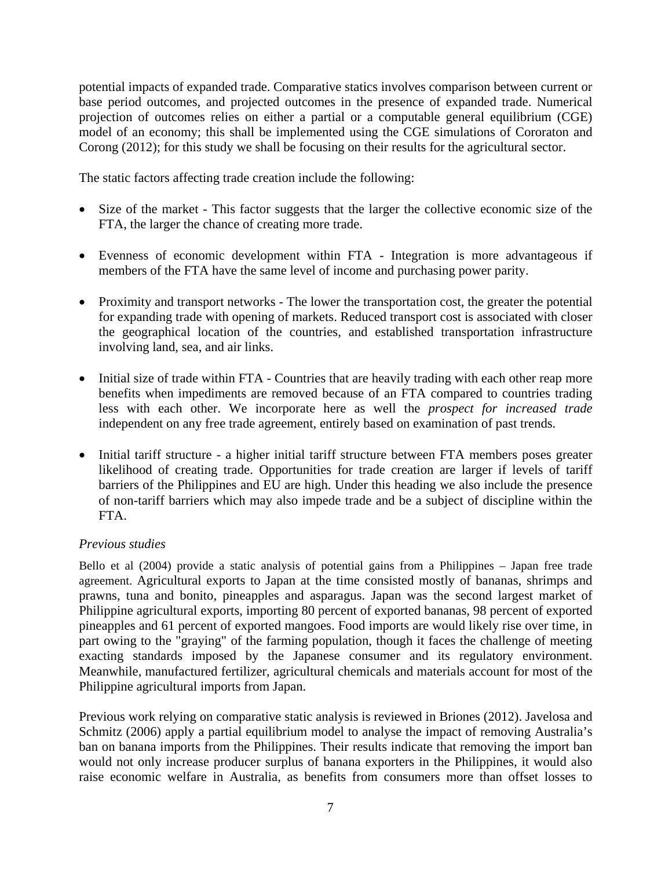potential impacts of expanded trade. Comparative statics involves comparison between current or base period outcomes, and projected outcomes in the presence of expanded trade. Numerical projection of outcomes relies on either a partial or a computable general equilibrium (CGE) model of an economy; this shall be implemented using the CGE simulations of Cororaton and Corong (2012); for this study we shall be focusing on their results for the agricultural sector.

The static factors affecting trade creation include the following:

- Size of the market This factor suggests that the larger the collective economic size of the FTA, the larger the chance of creating more trade.
- Evenness of economic development within FTA Integration is more advantageous if members of the FTA have the same level of income and purchasing power parity.
- Proximity and transport networks The lower the transportation cost, the greater the potential for expanding trade with opening of markets. Reduced transport cost is associated with closer the geographical location of the countries, and established transportation infrastructure involving land, sea, and air links.
- Initial size of trade within FTA Countries that are heavily trading with each other reap more benefits when impediments are removed because of an FTA compared to countries trading less with each other. We incorporate here as well the *prospect for increased trade*  independent on any free trade agreement, entirely based on examination of past trends.
- Initial tariff structure a higher initial tariff structure between FTA members poses greater likelihood of creating trade. Opportunities for trade creation are larger if levels of tariff barriers of the Philippines and EU are high. Under this heading we also include the presence of non-tariff barriers which may also impede trade and be a subject of discipline within the FTA.

# *Previous studies*

Bello et al (2004) provide a static analysis of potential gains from a Philippines – Japan free trade agreement. Agricultural exports to Japan at the time consisted mostly of bananas, shrimps and prawns, tuna and bonito, pineapples and asparagus. Japan was the second largest market of Philippine agricultural exports, importing 80 percent of exported bananas, 98 percent of exported pineapples and 61 percent of exported mangoes. Food imports are would likely rise over time, in part owing to the "graying" of the farming population, though it faces the challenge of meeting exacting standards imposed by the Japanese consumer and its regulatory environment. Meanwhile, manufactured fertilizer, agricultural chemicals and materials account for most of the Philippine agricultural imports from Japan.

Previous work relying on comparative static analysis is reviewed in Briones (2012). Javelosa and Schmitz (2006) apply a partial equilibrium model to analyse the impact of removing Australia's ban on banana imports from the Philippines. Their results indicate that removing the import ban would not only increase producer surplus of banana exporters in the Philippines, it would also raise economic welfare in Australia, as benefits from consumers more than offset losses to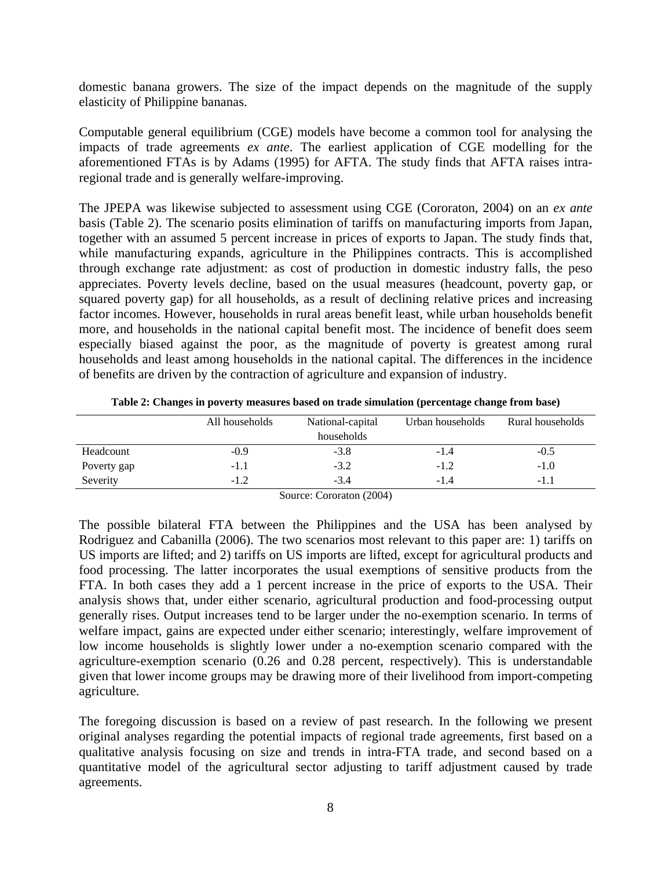domestic banana growers. The size of the impact depends on the magnitude of the supply elasticity of Philippine bananas.

Computable general equilibrium (CGE) models have become a common tool for analysing the impacts of trade agreements *ex ante*. The earliest application of CGE modelling for the aforementioned FTAs is by Adams (1995) for AFTA. The study finds that AFTA raises intraregional trade and is generally welfare-improving.

The JPEPA was likewise subjected to assessment using CGE (Cororaton, 2004) on an *ex ante* basis [\(Table 2\)](#page-8-0). The scenario posits elimination of tariffs on manufacturing imports from Japan, together with an assumed 5 percent increase in prices of exports to Japan. The study finds that, while manufacturing expands, agriculture in the Philippines contracts. This is accomplished through exchange rate adjustment: as cost of production in domestic industry falls, the peso appreciates. Poverty levels decline, based on the usual measures (headcount, poverty gap, or squared poverty gap) for all households, as a result of declining relative prices and increasing factor incomes. However, households in rural areas benefit least, while urban households benefit more, and households in the national capital benefit most. The incidence of benefit does seem especially biased against the poor, as the magnitude of poverty is greatest among rural households and least among households in the national capital. The differences in the incidence of benefits are driven by the contraction of agriculture and expansion of industry.

<span id="page-8-0"></span>

|             | All households | National-capital | Urban households | Rural households |
|-------------|----------------|------------------|------------------|------------------|
|             |                | households       |                  |                  |
| Headcount   | $-0.9$         | $-3.8$           | $-1.4$           | $-0.5$           |
| Poverty gap | $-1.1$         | $-3.2$           | $-1.2$           | $-1.0$           |
| Severity    | $-1.2$         | $-3.4$           | $-1.4$           | $-1.1$           |

**Table 2: Changes in poverty measures based on trade simulation (percentage change from base)**

Source: Cororaton (2004)

The possible bilateral FTA between the Philippines and the USA has been analysed by Rodriguez and Cabanilla (2006). The two scenarios most relevant to this paper are: 1) tariffs on US imports are lifted; and 2) tariffs on US imports are lifted, except for agricultural products and food processing. The latter incorporates the usual exemptions of sensitive products from the FTA. In both cases they add a 1 percent increase in the price of exports to the USA. Their analysis shows that, under either scenario, agricultural production and food-processing output generally rises. Output increases tend to be larger under the no-exemption scenario. In terms of welfare impact, gains are expected under either scenario; interestingly, welfare improvement of low income households is slightly lower under a no-exemption scenario compared with the agriculture-exemption scenario (0.26 and 0.28 percent, respectively). This is understandable given that lower income groups may be drawing more of their livelihood from import-competing agriculture.

The foregoing discussion is based on a review of past research. In the following we present original analyses regarding the potential impacts of regional trade agreements, first based on a qualitative analysis focusing on size and trends in intra-FTA trade, and second based on a quantitative model of the agricultural sector adjusting to tariff adjustment caused by trade agreements.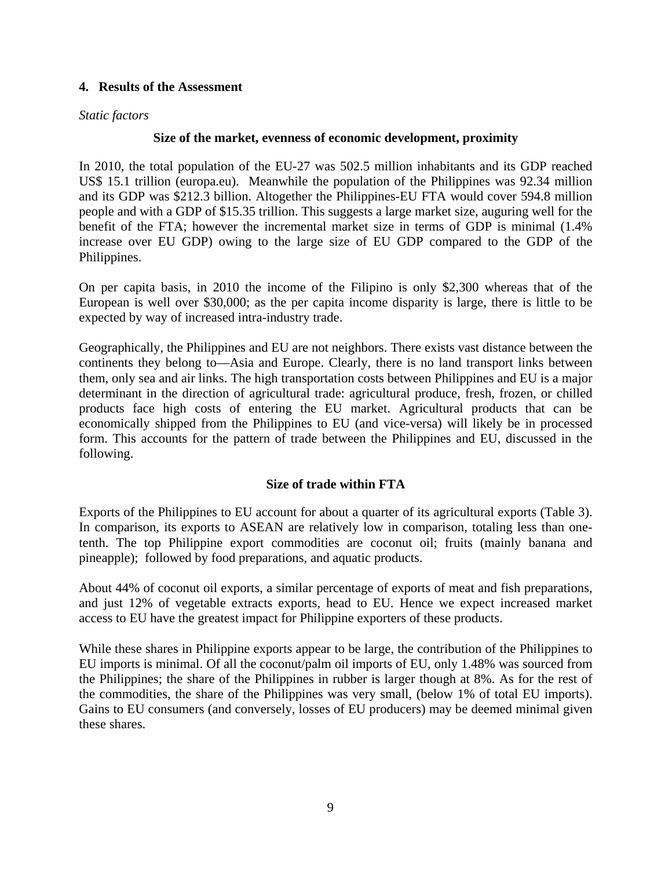## **4. Results of the Assessment**

## *Static factors*

## **Size of the market, evenness of economic development, proximity**

In 2010, the total population of the EU-27 was 502.5 million inhabitants and its GDP reached US\$ 15.1 trillion (europa.eu). Meanwhile the population of the Philippines was 92.34 million and its GDP was \$212.3 billion. Altogether the Philippines-EU FTA would cover 594.8 million people and with a GDP of \$15.35 trillion. This suggests a large market size, auguring well for the benefit of the FTA; however the incremental market size in terms of GDP is minimal (1.4% increase over EU GDP) owing to the large size of EU GDP compared to the GDP of the Philippines.

On per capita basis, in 2010 the income of the Filipino is only \$2,300 whereas that of the European is well over \$30,000; as the per capita income disparity is large, there is little to be expected by way of increased intra-industry trade.

Geographically, the Philippines and EU are not neighbors. There exists vast distance between the continents they belong to—Asia and Europe. Clearly, there is no land transport links between them, only sea and air links. The high transportation costs between Philippines and EU is a major determinant in the direction of agricultural trade: agricultural produce, fresh, frozen, or chilled products face high costs of entering the EU market. Agricultural products that can be economically shipped from the Philippines to EU (and vice-versa) will likely be in processed form. This accounts for the pattern of trade between the Philippines and EU, discussed in the following.

## **Size of trade within FTA**

Exports of the Philippines to EU account for about a quarter of its agricultural exports [\(Table 3\)](#page-10-0). In comparison, its exports to ASEAN are relatively low in comparison, totaling less than onetenth. The top Philippine export commodities are coconut oil; fruits (mainly banana and pineapple); followed by food preparations, and aquatic products.

About 44% of coconut oil exports, a similar percentage of exports of meat and fish preparations, and just 12% of vegetable extracts exports, head to EU. Hence we expect increased market access to EU have the greatest impact for Philippine exporters of these products.

While these shares in Philippine exports appear to be large, the contribution of the Philippines to EU imports is minimal. Of all the coconut/palm oil imports of EU, only 1.48% was sourced from the Philippines; the share of the Philippines in rubber is larger though at 8%. As for the rest of the commodities, the share of the Philippines was very small, (below 1% of total EU imports). Gains to EU consumers (and conversely, losses of EU producers) may be deemed minimal given these shares.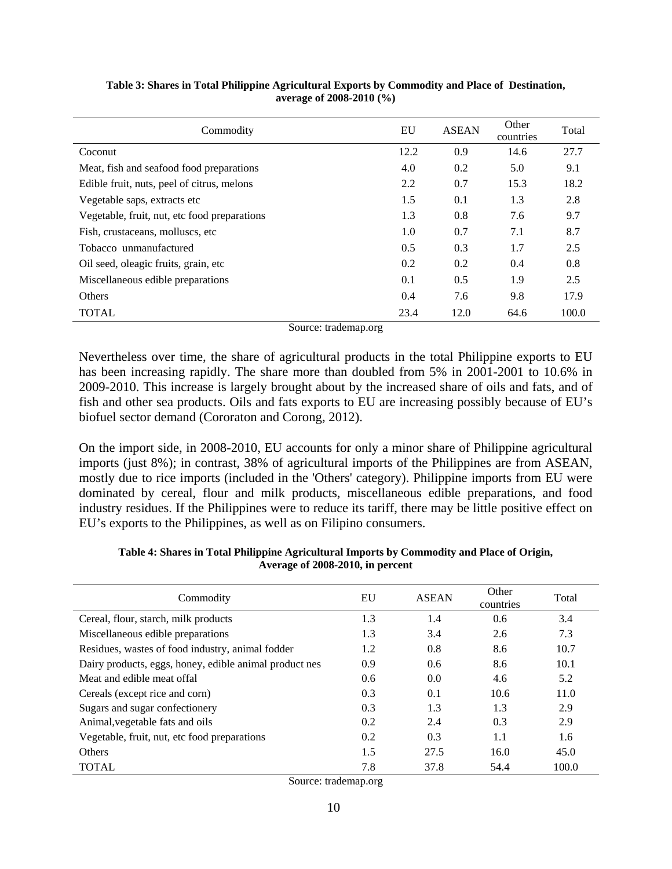| Commodity                                    | EU   | <b>ASEAN</b> | Other<br>countries | Total |
|----------------------------------------------|------|--------------|--------------------|-------|
| Coconut                                      | 12.2 | 0.9          | 14.6               | 27.7  |
| Meat, fish and seafood food preparations     | 4.0  | 0.2          | 5.0                | 9.1   |
| Edible fruit, nuts, peel of citrus, melons   | 2.2  | 0.7          | 15.3               | 18.2  |
| Vegetable saps, extracts etc.                | 1.5  | 0.1          | 1.3                | 2.8   |
| Vegetable, fruit, nut, etc food preparations | 1.3  | 0.8          | 7.6                | 9.7   |
| Fish, crustaceans, molluscs, etc.            | 1.0  | 0.7          | 7.1                | 8.7   |
| Tobacco unmanufactured                       | 0.5  | 0.3          | 1.7                | 2.5   |
| Oil seed, oleagic fruits, grain, etc.        | 0.2  | 0.2          | 0.4                | 0.8   |
| Miscellaneous edible preparations            | 0.1  | 0.5          | 1.9                | 2.5   |
| <b>Others</b>                                | 0.4  | 7.6          | 9.8                | 17.9  |
| <b>TOTAL</b>                                 | 23.4 | 12.0         | 64.6               | 100.0 |

<span id="page-10-0"></span>**Table 3: Shares in Total Philippine Agricultural Exports by Commodity and Place of Destination, average of 2008-2010 (%)**

Source: trademap.org

Nevertheless over time, the share of agricultural products in the total Philippine exports to EU has been increasing rapidly. The share more than doubled from 5% in 2001-2001 to 10.6% in 2009-2010. This increase is largely brought about by the increased share of oils and fats, and of fish and other sea products. Oils and fats exports to EU are increasing possibly because of EU's biofuel sector demand (Cororaton and Corong, 2012).

On the import side, in 2008-2010, EU accounts for only a minor share of Philippine agricultural imports (just 8%); in contrast, 38% of agricultural imports of the Philippines are from ASEAN, mostly due to rice imports (included in the 'Others' category). Philippine imports from EU were dominated by cereal, flour and milk products, miscellaneous edible preparations, and food industry residues. If the Philippines were to reduce its tariff, there may be little positive effect on EU's exports to the Philippines, as well as on Filipino consumers.

| Commodity                                              | EU  | <b>ASEAN</b> | Other<br>countries | Total |
|--------------------------------------------------------|-----|--------------|--------------------|-------|
| Cereal, flour, starch, milk products                   | 1.3 | 1.4          | 0.6                | 3.4   |
| Miscellaneous edible preparations                      | 1.3 | 3.4          | 2.6                | 7.3   |
| Residues, wastes of food industry, animal fodder       | 1.2 | 0.8          | 8.6                | 10.7  |
| Dairy products, eggs, honey, edible animal product nes | 0.9 | 0.6          | 8.6                | 10.1  |
| Meat and edible meat offal                             | 0.6 | 0.0          | 4.6                | 5.2   |
| Cereals (except rice and corn)                         | 0.3 | 0.1          | 10.6               | 11.0  |
| Sugars and sugar confectionery                         | 0.3 | 1.3          | 1.3                | 2.9   |
| Animal, vegetable fats and oils                        | 0.2 | 2.4          | 0.3                | 2.9   |
| Vegetable, fruit, nut, etc food preparations           | 0.2 | 0.3          | 1.1                | 1.6   |
| <b>Others</b>                                          | 1.5 | 27.5         | 16.0               | 45.0  |
| <b>TOTAL</b>                                           | 7.8 | 37.8         | 54.4               | 100.0 |

**Table 4: Shares in Total Philippine Agricultural Imports by Commodity and Place of Origin, Average of 2008-2010, in percent**

Source: trademap.org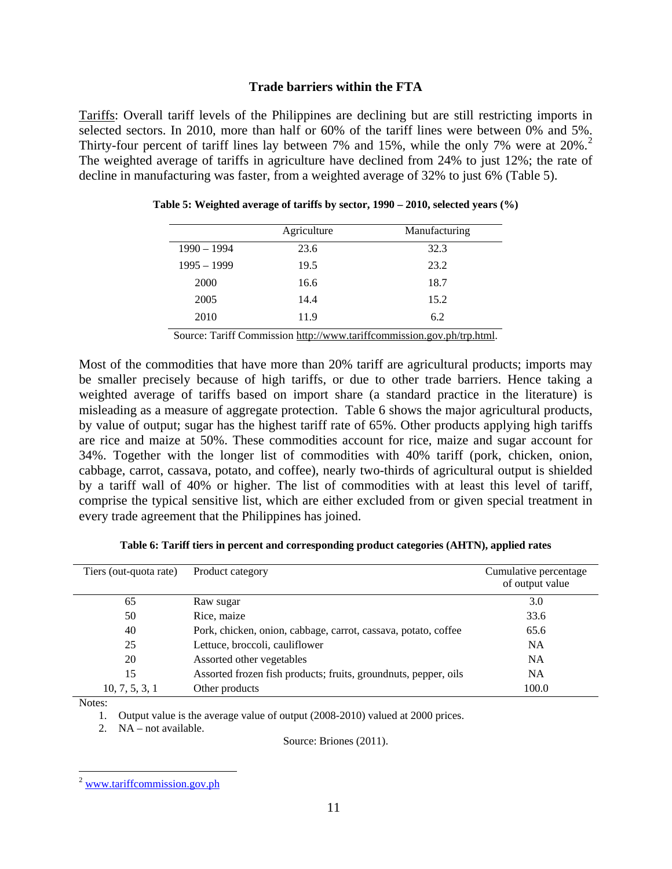#### **Trade barriers within the FTA**

Tariffs: Overall tariff levels of the Philippines are declining but are still restricting imports in selected sectors. In 2010, more than half or 60% of the tariff lines were between 0% and 5%. Thirty-four percent of tariff lines lay between 7% and 15%, while the only 7% were at [2](#page-11-2)0%.<sup>2</sup> The weighted average of tariffs in agriculture have declined from 24% to just 12%; the rate of decline in manufacturing was faster, from a weighted average of 32% to just 6% [\(Table 5\)](#page-11-0).

|               | Agriculture | Manufacturing |
|---------------|-------------|---------------|
| $1990 - 1994$ | 23.6        | 32.3          |
| $1995 - 1999$ | 19.5        | 23.2          |
| 2000          | 16.6        | 18.7          |
| 2005          | 14.4        | 15.2          |
| 2010          | 11.9        | 6.2           |

<span id="page-11-0"></span>

|  |  |  |  |  | Table 5: Weighted average of tariffs by sector, 1990 – 2010, selected years (%) |  |
|--|--|--|--|--|---------------------------------------------------------------------------------|--|
|--|--|--|--|--|---------------------------------------------------------------------------------|--|

Source: Tariff Commission [http://www.tariffcommission.gov.ph/trp.html.](http://www.tariffcommission.gov.ph/trp.html)

Most of the commodities that have more than 20% tariff are agricultural products; imports may be smaller precisely because of high tariffs, or due to other trade barriers. Hence taking a weighted average of tariffs based on import share (a standard practice in the literature) is misleading as a measure of aggregate protection. [Table 6](#page-11-1) shows the major agricultural products, by value of output; sugar has the highest tariff rate of 65%. Other products applying high tariffs are rice and maize at 50%. These commodities account for rice, maize and sugar account for 34%. Together with the longer list of commodities with 40% tariff (pork, chicken, onion, cabbage, carrot, cassava, potato, and coffee), nearly two-thirds of agricultural output is shielded by a tariff wall of 40% or higher. The list of commodities with at least this level of tariff, comprise the typical sensitive list, which are either excluded from or given special treatment in every trade agreement that the Philippines has joined.

| Table 6: Tariff tiers in percent and corresponding product categories (AHTN), applied rates |  |  |  |
|---------------------------------------------------------------------------------------------|--|--|--|
|---------------------------------------------------------------------------------------------|--|--|--|

<span id="page-11-1"></span>

| Product category<br>Tiers (out-quota rate) |                                                                 | Cumulative percentage<br>of output value |
|--------------------------------------------|-----------------------------------------------------------------|------------------------------------------|
| 65                                         | Raw sugar                                                       | 3.0                                      |
| 50                                         | Rice, maize                                                     | 33.6                                     |
| 40                                         | Pork, chicken, onion, cabbage, carrot, cassava, potato, coffee  | 65.6                                     |
| 25                                         | Lettuce, broccoli, cauliflower                                  | <b>NA</b>                                |
| 20                                         | Assorted other vegetables                                       | <b>NA</b>                                |
| 15                                         | Assorted frozen fish products; fruits, groundnuts, pepper, oils | <b>NA</b>                                |
| 10, 7, 5, 3, 1                             | Other products                                                  | 100.0                                    |

Notes:

1. Output value is the average value of output (2008-2010) valued at 2000 prices.

2. NA – not available.

Source: Briones (2011).

<span id="page-11-2"></span> <sup>2</sup> [www.tariffcommission.gov.ph](http://www.tariffcommission.gov.ph/)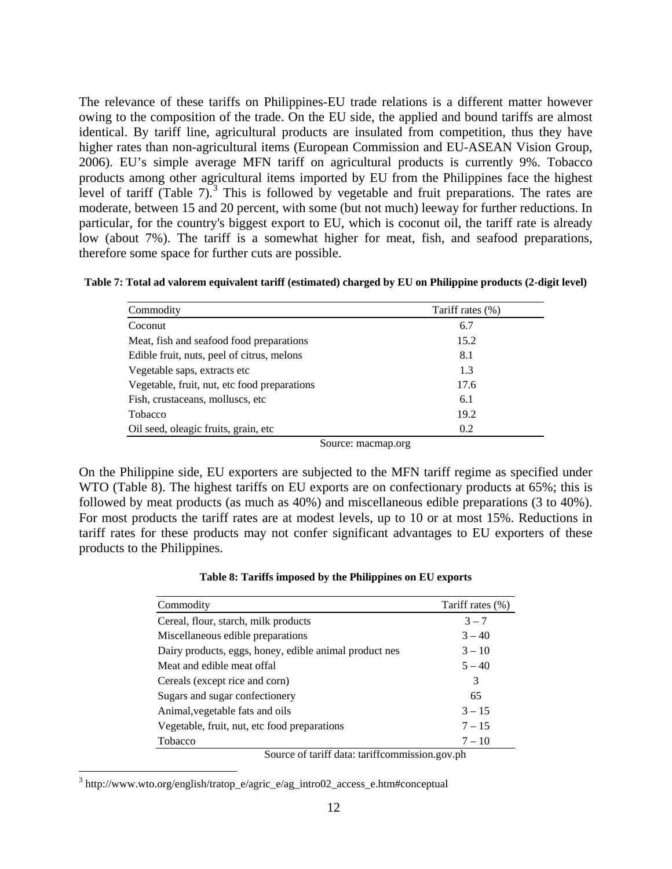The relevance of these tariffs on Philippines-EU trade relations is a different matter however owing to the composition of the trade. On the EU side, the applied and bound tariffs are almost identical. By tariff line, agricultural products are insulated from competition, thus they have higher rates than non-agricultural items (European Commission and EU-ASEAN Vision Group, 2006). EU's simple average MFN tariff on agricultural products is currently 9%. Tobacco products among other agricultural items imported by EU from the Philippines face the highest level of tariff [\(Table 7\)](#page-12-0).<sup>[3](#page-12-2)</sup> This is followed by vegetable and fruit preparations. The rates are moderate, between 15 and 20 percent, with some (but not much) leeway for further reductions. In particular, for the country's biggest export to EU, which is coconut oil, the tariff rate is already low (about 7%). The tariff is a somewhat higher for meat, fish, and seafood preparations, therefore some space for further cuts are possible.

<span id="page-12-0"></span>

| Table 7: Total ad valorem equivalent tariff (estimated) charged by EU on Philippine products (2-digit level) |  |  |  |
|--------------------------------------------------------------------------------------------------------------|--|--|--|
|--------------------------------------------------------------------------------------------------------------|--|--|--|

| Commodity                                    | Tariff rates (%) |
|----------------------------------------------|------------------|
| Coconut                                      | 6.7              |
| Meat, fish and seafood food preparations     | 15.2             |
| Edible fruit, nuts, peel of citrus, melons   | 8.1              |
| Vegetable saps, extracts etc.                | 1.3              |
| Vegetable, fruit, nut, etc food preparations | 17.6             |
| Fish, crustaceans, molluscs, etc.            | 6.1              |
| Tobacco                                      | 19.2             |
| Oil seed, oleagic fruits, grain, etc.        | 0.2              |

Source: macmap.org

On the Philippine side, EU exporters are subjected to the MFN tariff regime as specified under WTO [\(Table 8\)](#page-12-1). The highest tariffs on EU exports are on confectionary products at 65%; this is followed by meat products (as much as 40%) and miscellaneous edible preparations (3 to 40%). For most products the tariff rates are at modest levels, up to 10 or at most 15%. Reductions in tariff rates for these products may not confer significant advantages to EU exporters of these products to the Philippines.

|  |  |  |  |  |  | Table 8: Tariffs imposed by the Philippines on EU exports |  |  |  |
|--|--|--|--|--|--|-----------------------------------------------------------|--|--|--|
|--|--|--|--|--|--|-----------------------------------------------------------|--|--|--|

<span id="page-12-1"></span>

| Tariff rates (%) |
|------------------|
| $3 - 7$          |
| $3 - 40$         |
| $3 - 10$         |
| $5 - 40$         |
| 3                |
| 65               |
| $3 - 15$         |
| $7 - 15$         |
| $7 - 10$         |
|                  |

Source of tariff data: tariffcommission.gov.ph

<span id="page-12-2"></span> <sup>3</sup> http://www.wto.org/english/tratop\_e/agric\_e/ag\_intro02\_access\_e.htm#conceptual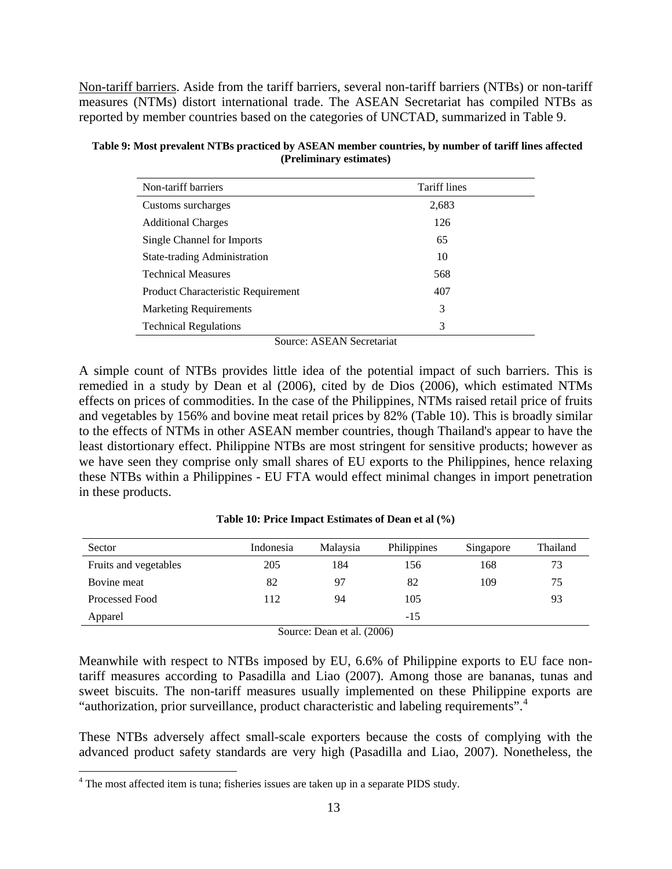Non-tariff barriers. Aside from the tariff barriers, several non-tariff barriers (NTBs) or non-tariff measures (NTMs) distort international trade. The ASEAN Secretariat has compiled NTBs as reported by member countries based on the categories of UNCTAD, summarized in [Table 9.](#page-13-0)

<span id="page-13-0"></span>

| Table 9: Most prevalent NTBs practiced by ASEAN member countries, by number of tariff lines affected |
|------------------------------------------------------------------------------------------------------|
| (Preliminary estimates)                                                                              |

| Non-tariff barriers                | <b>Tariff lines</b> |
|------------------------------------|---------------------|
| Customs surcharges                 | 2,683               |
| <b>Additional Charges</b>          | 126                 |
| Single Channel for Imports         | 65                  |
| State-trading Administration       | 10                  |
| <b>Technical Measures</b>          | 568                 |
| Product Characteristic Requirement | 407                 |
| <b>Marketing Requirements</b>      | 3                   |
| <b>Technical Regulations</b>       | 3                   |

Source: ASEAN Secretariat

A simple count of NTBs provides little idea of the potential impact of such barriers. This is remedied in a study by Dean et al (2006), cited by de Dios (2006), which estimated NTMs effects on prices of commodities. In the case of the Philippines, NTMs raised retail price of fruits and vegetables by 156% and bovine meat retail prices by 82% [\(Table 10\)](#page-13-1). This is broadly similar to the effects of NTMs in other ASEAN member countries, though Thailand's appear to have the least distortionary effect. Philippine NTBs are most stringent for sensitive products; however as we have seen they comprise only small shares of EU exports to the Philippines, hence relaxing these NTBs within a Philippines - EU FTA would effect minimal changes in import penetration in these products.

<span id="page-13-1"></span>

| Sector                | Indonesia | Malaysia | Philippines | Singapore | Thailand |  |  |
|-----------------------|-----------|----------|-------------|-----------|----------|--|--|
| Fruits and vegetables | 205       | 184      | 156         | 168       | 73       |  |  |
| Bovine meat           | 82        | 97       | 82          | 109       | 75       |  |  |
| Processed Food        | 112       | 94       | 105         |           | 93       |  |  |
| Apparel               |           |          | $-15$       |           |          |  |  |
| 0.0000                |           |          |             |           |          |  |  |

**Table 10: Price Impact Estimates of Dean et al (%)**

Source: Dean et al. (2006)

Meanwhile with respect to NTBs imposed by EU, 6.6% of Philippine exports to EU face nontariff measures according to Pasadilla and Liao (2007). Among those are bananas, tunas and sweet biscuits. The non-tariff measures usually implemented on these Philippine exports are "authorization, prior surveillance, product characteristic and labeling requirements".[4](#page-13-2)

These NTBs adversely affect small-scale exporters because the costs of complying with the advanced product safety standards are very high (Pasadilla and Liao, 2007). Nonetheless, the

<span id="page-13-2"></span><sup>&</sup>lt;sup>4</sup> The most affected item is tuna; fisheries issues are taken up in a separate PIDS study.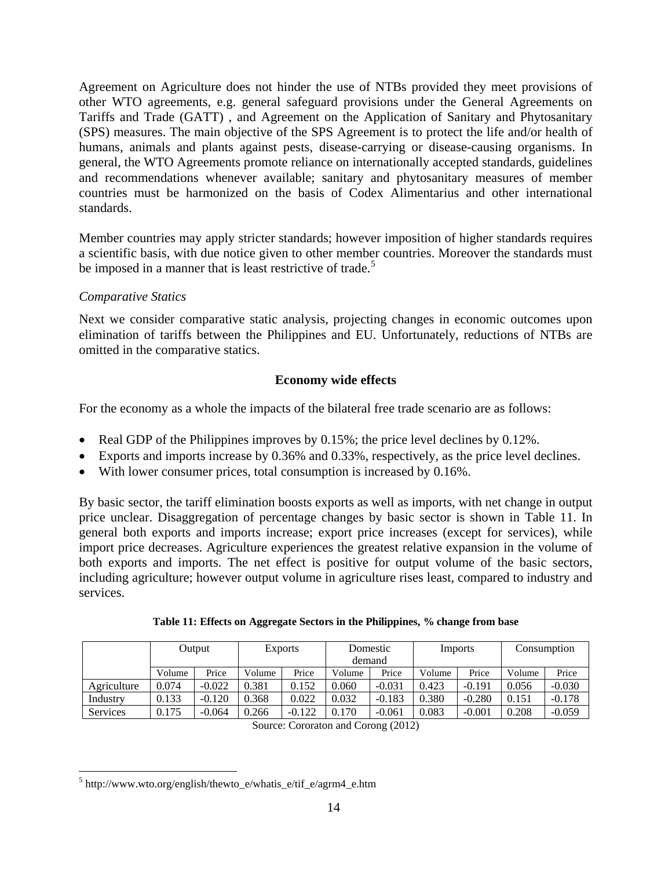Agreement on Agriculture does not hinder the use of NTBs provided they meet provisions of other WTO agreements, e.g. general safeguard provisions under the General Agreements on Tariffs and Trade (GATT) , and Agreement on the Application of Sanitary and Phytosanitary (SPS) measures. The main objective of the SPS Agreement is to protect the life and/or health of humans, animals and plants against pests, disease-carrying or disease-causing organisms. In general, the WTO Agreements promote reliance on internationally accepted standards, guidelines and recommendations whenever available; sanitary and phytosanitary measures of member countries must be harmonized on the basis of Codex Alimentarius and other international standards.

Member countries may apply stricter standards; however imposition of higher standards requires a scientific basis, with due notice given to other member countries. Moreover the standards must be imposed in a manner that is least restrictive of trade.<sup>[5](#page-14-1)</sup>

# *Comparative Statics*

Next we consider comparative static analysis, projecting changes in economic outcomes upon elimination of tariffs between the Philippines and EU. Unfortunately, reductions of NTBs are omitted in the comparative statics.

# **Economy wide effects**

For the economy as a whole the impacts of the bilateral free trade scenario are as follows:

- Real GDP of the Philippines improves by 0.15%; the price level declines by 0.12%.
- Exports and imports increase by 0.36% and 0.33%, respectively, as the price level declines.
- With lower consumer prices, total consumption is increased by 0.16%.

By basic sector, the tariff elimination boosts exports as well as imports, with net change in output price unclear. Disaggregation of percentage changes by basic sector is shown in [Table 11.](#page-14-0) In general both exports and imports increase; export price increases (except for services), while import price decreases. Agriculture experiences the greatest relative expansion in the volume of both exports and imports. The net effect is positive for output volume of the basic sectors, including agriculture; however output volume in agriculture rises least, compared to industry and services.

<span id="page-14-0"></span>

|                 | Output |          | <b>Exports</b> |          | demand            | Domestic | Imports |          |        | Consumption |
|-----------------|--------|----------|----------------|----------|-------------------|----------|---------|----------|--------|-------------|
|                 | Volume | Price    | Volume         | Price    | Price<br>Volume   |          | Volume  | Price    | Volume | Price       |
| Agriculture     | 0.074  | $-0.022$ | 0.381          | 0.152    | 0.060             | $-0.031$ | 0.423   | $-0.191$ | 0.056  | $-0.030$    |
| Industry        | 0.133  | $-0.120$ | 0.368          | 0.022    | 0.032             | $-0.183$ | 0.380   | $-0.280$ | 0.151  | $-0.178$    |
| <b>Services</b> | 0.175  | $-0.064$ | 0.266          | $-0.122$ | 0.170<br>$-0.061$ |          | 0.083   | $-0.001$ | 0.208  | $-0.059$    |

|  |  |  |  | Table 11: Effects on Aggregate Sectors in the Philippines, % change from base |  |  |
|--|--|--|--|-------------------------------------------------------------------------------|--|--|
|  |  |  |  |                                                                               |  |  |

Source: Cororaton and Corong (2012)

<span id="page-14-1"></span> $5$  http://www.wto.org/english/thewto\_e/whatis\_e/tif\_e/agrm4\_e.htm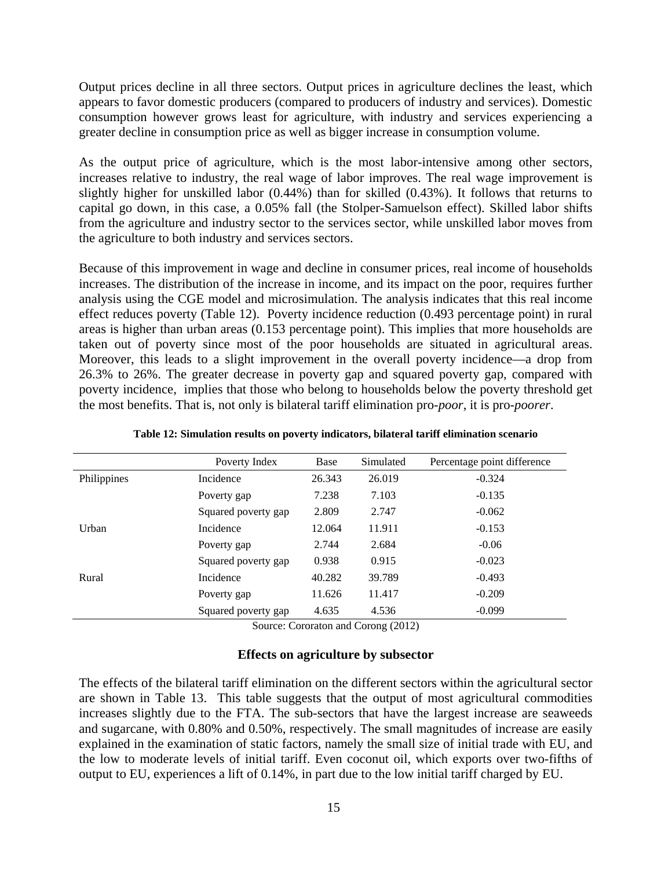Output prices decline in all three sectors. Output prices in agriculture declines the least, which appears to favor domestic producers (compared to producers of industry and services). Domestic consumption however grows least for agriculture, with industry and services experiencing a greater decline in consumption price as well as bigger increase in consumption volume.

As the output price of agriculture, which is the most labor-intensive among other sectors, increases relative to industry, the real wage of labor improves. The real wage improvement is slightly higher for unskilled labor (0.44%) than for skilled (0.43%). It follows that returns to capital go down, in this case, a 0.05% fall (the Stolper-Samuelson effect). Skilled labor shifts from the agriculture and industry sector to the services sector, while unskilled labor moves from the agriculture to both industry and services sectors.

Because of this improvement in wage and decline in consumer prices, real income of households increases. The distribution of the increase in income, and its impact on the poor, requires further analysis using the CGE model and microsimulation. The analysis indicates that this real income effect reduces poverty [\(Table 12\)](#page-15-0). Poverty incidence reduction (0.493 percentage point) in rural areas is higher than urban areas (0.153 percentage point). This implies that more households are taken out of poverty since most of the poor households are situated in agricultural areas. Moreover, this leads to a slight improvement in the overall poverty incidence—a drop from 26.3% to 26%. The greater decrease in poverty gap and squared poverty gap, compared with poverty incidence, implies that those who belong to households below the poverty threshold get the most benefits. That is, not only is bilateral tariff elimination pro-*poor*, it is pro-*poorer*.

<span id="page-15-0"></span>

|             | Poverty Index       | Base   | Simulated | Percentage point difference |
|-------------|---------------------|--------|-----------|-----------------------------|
| Philippines | Incidence           | 26.343 | 26.019    | $-0.324$                    |
|             | Poverty gap         | 7.238  | 7.103     | $-0.135$                    |
|             | Squared poverty gap | 2.809  | 2.747     | $-0.062$                    |
| Urban       | Incidence           | 12.064 | 11.911    | $-0.153$                    |
|             | Poverty gap         | 2.744  | 2.684     | $-0.06$                     |
|             | Squared poverty gap | 0.938  | 0.915     | $-0.023$                    |
| Rural       | Incidence           | 40.282 | 39.789    | $-0.493$                    |
|             | Poverty gap         | 11.626 | 11.417    | $-0.209$                    |
|             | Squared poverty gap | 4.635  | 4.536     | $-0.099$                    |

**Table 12: Simulation results on poverty indicators, bilateral tariff elimination scenario**

Source: Cororaton and Corong (2012)

#### **Effects on agriculture by subsector**

The effects of the bilateral tariff elimination on the different sectors within the agricultural sector are shown in [Table 13.](#page-16-0) This table suggests that the output of most agricultural commodities increases slightly due to the FTA. The sub-sectors that have the largest increase are seaweeds and sugarcane, with 0.80% and 0.50%, respectively. The small magnitudes of increase are easily explained in the examination of static factors, namely the small size of initial trade with EU, and the low to moderate levels of initial tariff. Even coconut oil, which exports over two-fifths of output to EU, experiences a lift of 0.14%, in part due to the low initial tariff charged by EU.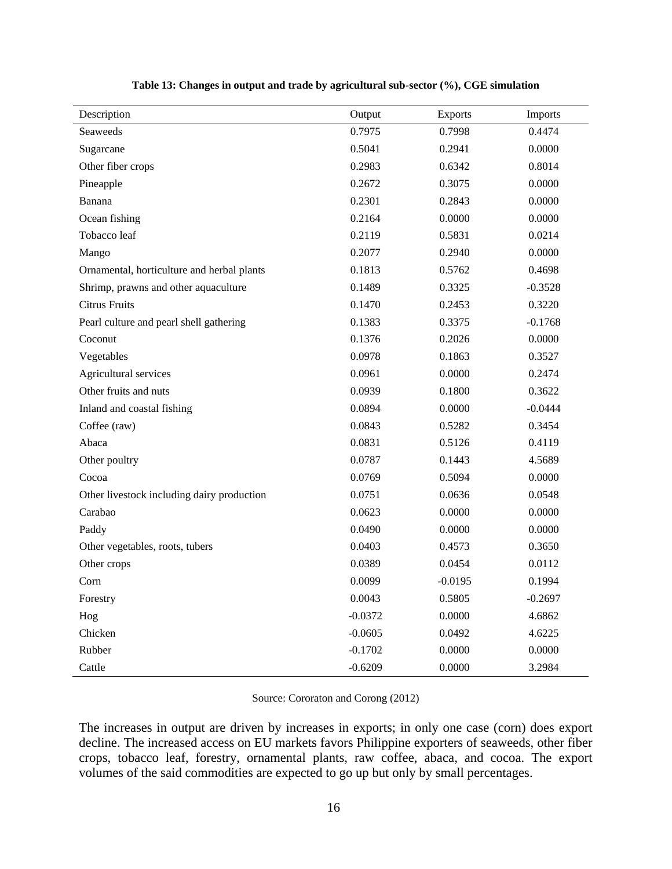<span id="page-16-0"></span>

| Description                                | Output    | Exports   | Imports   |
|--------------------------------------------|-----------|-----------|-----------|
| Seaweeds                                   | 0.7975    | 0.7998    | 0.4474    |
| Sugarcane                                  | 0.5041    | 0.2941    | 0.0000    |
| Other fiber crops                          | 0.2983    | 0.6342    | 0.8014    |
| Pineapple                                  | 0.2672    | 0.3075    | 0.0000    |
| Banana                                     | 0.2301    | 0.2843    | 0.0000    |
| Ocean fishing                              | 0.2164    | 0.0000    | 0.0000    |
| Tobacco leaf                               | 0.2119    | 0.5831    | 0.0214    |
| Mango                                      | 0.2077    | 0.2940    | 0.0000    |
| Ornamental, horticulture and herbal plants | 0.1813    | 0.5762    | 0.4698    |
| Shrimp, prawns and other aquaculture       | 0.1489    | 0.3325    | $-0.3528$ |
| <b>Citrus Fruits</b>                       | 0.1470    | 0.2453    | 0.3220    |
| Pearl culture and pearl shell gathering    | 0.1383    | 0.3375    | $-0.1768$ |
| Coconut                                    | 0.1376    | 0.2026    | 0.0000    |
| Vegetables                                 | 0.0978    | 0.1863    | 0.3527    |
| Agricultural services                      | 0.0961    | 0.0000    | 0.2474    |
| Other fruits and nuts                      | 0.0939    | 0.1800    | 0.3622    |
| Inland and coastal fishing                 | 0.0894    | 0.0000    | $-0.0444$ |
| Coffee (raw)                               | 0.0843    | 0.5282    | 0.3454    |
| Abaca                                      | 0.0831    | 0.5126    | 0.4119    |
| Other poultry                              | 0.0787    | 0.1443    | 4.5689    |
| Cocoa                                      | 0.0769    | 0.5094    | 0.0000    |
| Other livestock including dairy production | 0.0751    | 0.0636    | 0.0548    |
| Carabao                                    | 0.0623    | 0.0000    | 0.0000    |
| Paddy                                      | 0.0490    | 0.0000    | 0.0000    |
| Other vegetables, roots, tubers            | 0.0403    | 0.4573    | 0.3650    |
| Other crops                                | 0.0389    | 0.0454    | 0.0112    |
| Corn                                       | 0.0099    | $-0.0195$ | 0.1994    |
| Forestry                                   | 0.0043    | 0.5805    | $-0.2697$ |
| Hog                                        | $-0.0372$ | 0.0000    | 4.6862    |
| Chicken                                    | $-0.0605$ | 0.0492    | 4.6225    |
| Rubber                                     | $-0.1702$ | 0.0000    | 0.0000    |
| Cattle                                     | $-0.6209$ | 0.0000    | 3.2984    |

| Table 13: Changes in output and trade by agricultural sub-sector (%), CGE simulation |  |  |
|--------------------------------------------------------------------------------------|--|--|
|                                                                                      |  |  |

Source: Cororaton and Corong (2012)

The increases in output are driven by increases in exports; in only one case (corn) does export decline. The increased access on EU markets favors Philippine exporters of seaweeds, other fiber crops, tobacco leaf, forestry, ornamental plants, raw coffee, abaca, and cocoa. The export volumes of the said commodities are expected to go up but only by small percentages.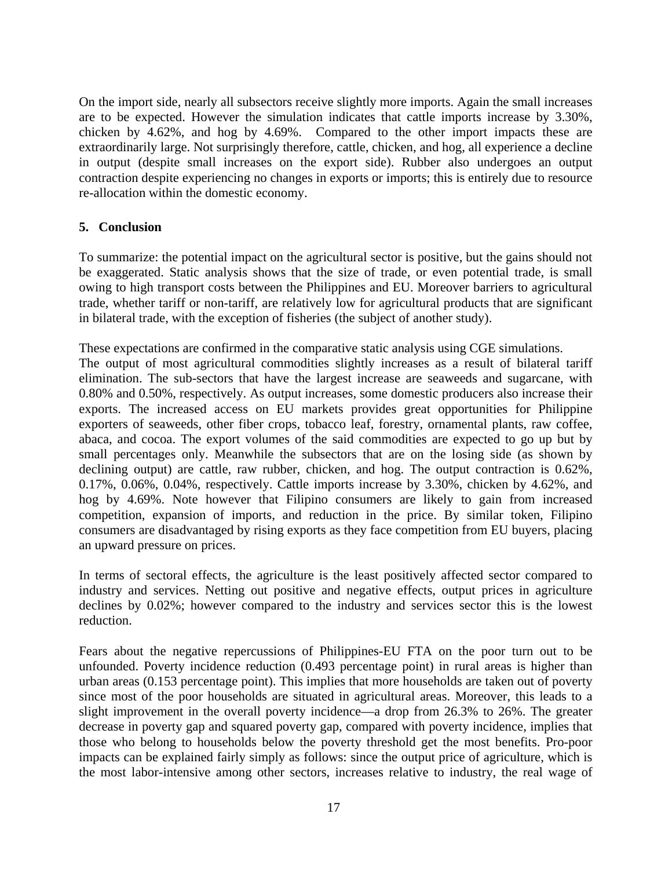On the import side, nearly all subsectors receive slightly more imports. Again the small increases are to be expected. However the simulation indicates that cattle imports increase by 3.30%, chicken by 4.62%, and hog by 4.69%. Compared to the other import impacts these are extraordinarily large. Not surprisingly therefore, cattle, chicken, and hog, all experience a decline in output (despite small increases on the export side). Rubber also undergoes an output contraction despite experiencing no changes in exports or imports; this is entirely due to resource re-allocation within the domestic economy.

# **5. Conclusion**

To summarize: the potential impact on the agricultural sector is positive, but the gains should not be exaggerated. Static analysis shows that the size of trade, or even potential trade, is small owing to high transport costs between the Philippines and EU. Moreover barriers to agricultural trade, whether tariff or non-tariff, are relatively low for agricultural products that are significant in bilateral trade, with the exception of fisheries (the subject of another study).

These expectations are confirmed in the comparative static analysis using CGE simulations. The output of most agricultural commodities slightly increases as a result of bilateral tariff elimination. The sub-sectors that have the largest increase are seaweeds and sugarcane, with 0.80% and 0.50%, respectively. As output increases, some domestic producers also increase their exports. The increased access on EU markets provides great opportunities for Philippine exporters of seaweeds, other fiber crops, tobacco leaf, forestry, ornamental plants, raw coffee, abaca, and cocoa. The export volumes of the said commodities are expected to go up but by small percentages only. Meanwhile the subsectors that are on the losing side (as shown by declining output) are cattle, raw rubber, chicken, and hog. The output contraction is 0.62%, 0.17%, 0.06%, 0.04%, respectively. Cattle imports increase by 3.30%, chicken by 4.62%, and hog by 4.69%. Note however that Filipino consumers are likely to gain from increased competition, expansion of imports, and reduction in the price. By similar token, Filipino consumers are disadvantaged by rising exports as they face competition from EU buyers, placing an upward pressure on prices.

In terms of sectoral effects, the agriculture is the least positively affected sector compared to industry and services. Netting out positive and negative effects, output prices in agriculture declines by 0.02%; however compared to the industry and services sector this is the lowest reduction.

Fears about the negative repercussions of Philippines-EU FTA on the poor turn out to be unfounded. Poverty incidence reduction (0.493 percentage point) in rural areas is higher than urban areas (0.153 percentage point). This implies that more households are taken out of poverty since most of the poor households are situated in agricultural areas. Moreover, this leads to a slight improvement in the overall poverty incidence—a drop from 26.3% to 26%. The greater decrease in poverty gap and squared poverty gap, compared with poverty incidence, implies that those who belong to households below the poverty threshold get the most benefits. Pro-poor impacts can be explained fairly simply as follows: since the output price of agriculture, which is the most labor-intensive among other sectors, increases relative to industry, the real wage of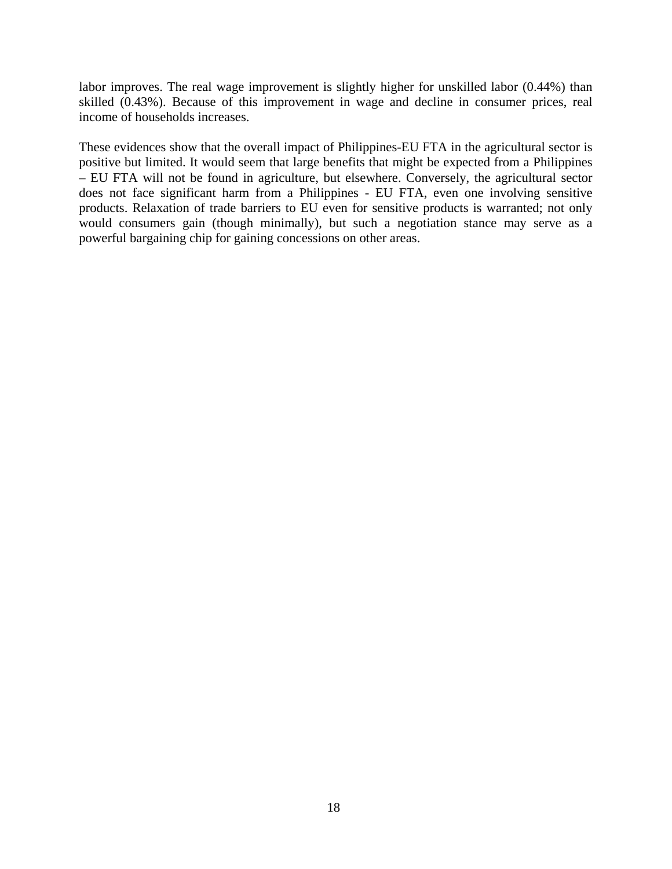labor improves. The real wage improvement is slightly higher for unskilled labor (0.44%) than skilled (0.43%). Because of this improvement in wage and decline in consumer prices, real income of households increases.

These evidences show that the overall impact of Philippines-EU FTA in the agricultural sector is positive but limited. It would seem that large benefits that might be expected from a Philippines – EU FTA will not be found in agriculture, but elsewhere. Conversely, the agricultural sector does not face significant harm from a Philippines - EU FTA, even one involving sensitive products. Relaxation of trade barriers to EU even for sensitive products is warranted; not only would consumers gain (though minimally), but such a negotiation stance may serve as a powerful bargaining chip for gaining concessions on other areas.